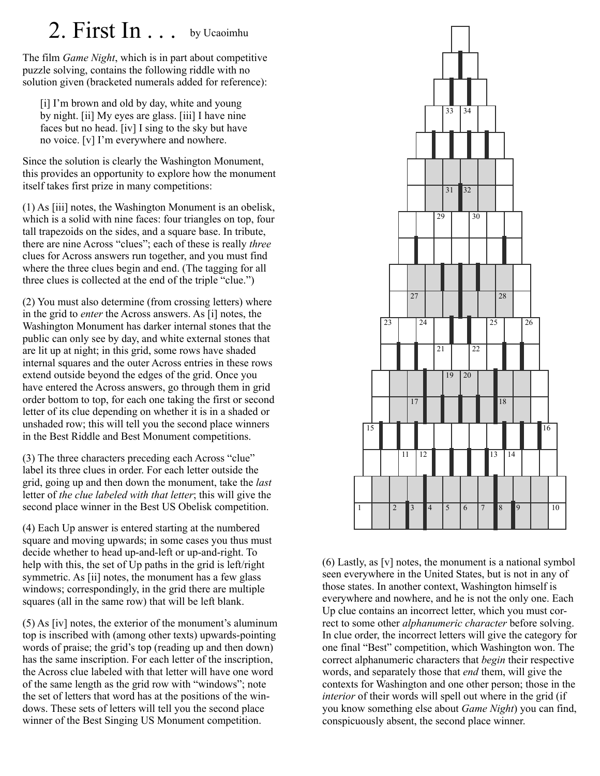## 2. First In . . . by Ucaoimhu

The film *Game Night*, which is in part about competitive puzzle solving, contains the following riddle with no solution given (bracketed numerals added for reference):

[i] I'm brown and old by day, white and young by night. [ii] My eyes are glass. [iii] I have nine faces but no head. [iv] I sing to the sky but have no voice. [v] I'm everywhere and nowhere.

Since the solution is clearly the Washington Monument, this provides an opportunity to explore how the monument itself takes first prize in many competitions:

(1) As [iii] notes, the Washington Monument is an obelisk, which is a solid with nine faces: four triangles on top, four tall trapezoids on the sides, and a square base. In tribute, there are nine Across "clues"; each of these is really *three* clues for Across answers run together, and you must find where the three clues begin and end. (The tagging for all three clues is collected at the end of the triple "clue.")

(2) You must also determine (from crossing letters) where in the grid to *enter* the Across answers. As [i] notes, the Washington Monument has darker internal stones that the public can only see by day, and white external stones that are lit up at night; in this grid, some rows have shaded internal squares and the outer Across entries in these rows extend outside beyond the edges of the grid. Once you have entered the Across answers, go through them in grid order bottom to top, for each one taking the first or second letter of its clue depending on whether it is in a shaded or unshaded row; this will tell you the second place winners in the Best Riddle and Best Monument competitions.

(3) The three characters preceding each Across "clue" label its three clues in order. For each letter outside the grid, going up and then down the monument, take the *last* letter of *the clue labeled with that letter*; this will give the second place winner in the Best US Obelisk competition.

(4) Each Up answer is entered starting at the numbered square and moving upwards; in some cases you thus must decide whether to head up-and-left or up-and-right. To help with this, the set of Up paths in the grid is left/right symmetric. As [ii] notes, the monument has a few glass windows; correspondingly, in the grid there are multiple squares (all in the same row) that will be left blank.

(5) As [iv] notes, the exterior of the monument's aluminum top is inscribed with (among other texts) upwards-pointing words of praise; the grid's top (reading up and then down) has the same inscription. For each letter of the inscription, the Across clue labeled with that letter will have one word of the same length as the grid row with "windows"; note the set of letters that word has at the positions of the windows. These sets of letters will tell you the second place winner of the Best Singing US Monument competition.



(6) Lastly, as [v] notes, the monument is a national symbol seen everywhere in the United States, but is not in any of those states. In another context, Washington himself is everywhere and nowhere, and he is not the only one. Each Up clue contains an incorrect letter, which you must correct to some other *alphanumeric character* before solving. In clue order, the incorrect letters will give the category for one final "Best" competition, which Washington won. The correct alphanumeric characters that *begin* their respective words, and separately those that *end* them, will give the contexts for Washington and one other person; those in the *interior* of their words will spell out where in the grid (if you know something else about *Game Night*) you can find, conspicuously absent, the second place winner.